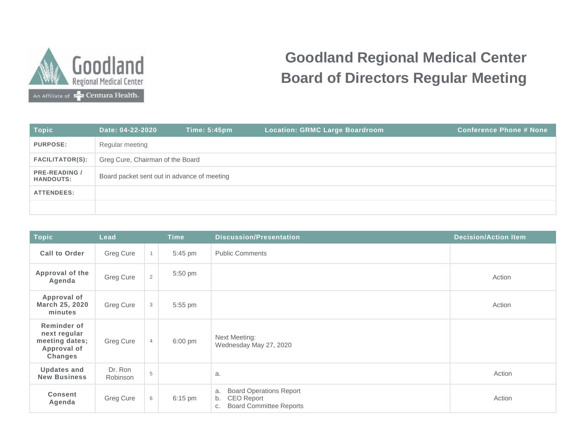

## **Goodland Regional Medical Center Board of Directors Regular Meeting**

| <b>Topic</b>                             | Date: 04-22-2020                            | <b>Time: 5:45pm</b> | <b>Location: GRMC Large Boardroom</b> | <b>Conference Phone # None</b> |  |  |  |  |
|------------------------------------------|---------------------------------------------|---------------------|---------------------------------------|--------------------------------|--|--|--|--|
| <b>PURPOSE:</b>                          | Regular meeting                             |                     |                                       |                                |  |  |  |  |
| <b>FACILITATOR(S):</b>                   | Greg Cure, Chairman of the Board            |                     |                                       |                                |  |  |  |  |
| <b>PRE-READING /</b><br><b>HANDOUTS:</b> | Board packet sent out in advance of meeting |                     |                                       |                                |  |  |  |  |
| <b>ATTENDEES:</b>                        |                                             |                     |                                       |                                |  |  |  |  |
|                                          |                                             |                     |                                       |                                |  |  |  |  |

| <b>Topic</b>                                                                   | Lead                |                | <b>Time</b>       | <b>Discussion/Presentation</b>                                                                   | <b>Decision/Action Item</b> |
|--------------------------------------------------------------------------------|---------------------|----------------|-------------------|--------------------------------------------------------------------------------------------------|-----------------------------|
| <b>Call to Order</b>                                                           | Greg Cure           | $\overline{1}$ | 5:45 pm           | <b>Public Comments</b>                                                                           |                             |
| Approval of the<br>Agenda                                                      | Greg Cure           | $\overline{2}$ | 5:50 pm           |                                                                                                  | Action                      |
| Approval of<br>March 25, 2020<br>minutes                                       | Greg Cure           | 3              | 5:55 pm           |                                                                                                  | Action                      |
| Reminder of<br>next regular<br>meeting dates;<br>Approval of<br><b>Changes</b> | Greg Cure           | $\overline{4}$ | $6:00 \text{ pm}$ | Next Meeting:<br>Wednesday May 27, 2020                                                          |                             |
| <b>Updates and</b><br><b>New Business</b>                                      | Dr. Ron<br>Robinson | 5              |                   | a.                                                                                               | Action                      |
| <b>Consent</b><br>Agenda                                                       | Greg Cure           | 6              | 6:15 pm           | <b>Board Operations Report</b><br>a.<br>CEO Report<br>b.<br><b>Board Committee Reports</b><br>C. | Action                      |